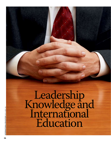# Leadership<br>Knowledge and International Education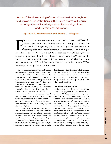Successful mainstreaming of internationalization throughout and across entire institutions in the United States will require an integration of knowledge about leadership, culture, and international education.

#### By Josef A. Mestenhauser and Brenda J. Ellingboe

on and on very day, international education professionals (IEPs) in the United States perform many leadership functions. Managing work and planning work. Writing strategic plans. Supervising staff and students. Representing their offices at conferences and organizations. And the list goes on and on. In some of these functions, IEPs are both leaders and followers; in many of them they perform different roles. This raises several questions: Where does the knowledge about these multiple leadership functions come from? What kind of prior preparation is required? Which functions are domestic and which are global? What leadership theories guide their performance?

Many international educators take leadership for granted and do not pay much attention to its conceptual foundations and its multidimensionality. Global trends moving toward a "knowledge and innovation society" seem to have found their way into international education in recent years. The direction to switch the focus of our work from *projects* that we *do* to concerns with what we *learn* and *know* is welcome. Because knowledge is constantly being upgraded and renewed, such a shift is essential in the field.

The success of international education depends not on a few projects and programs, but on its institutionalization and mainstreaming throughout and across entire institutions. And that is a function of leadership for which we are still searching, especially at the highest places.

Of the more than 10,000 "studies" of leadership published in the United States, most of them are written from a management perspective. But as cynics claim, we have more studies than knowledge. If we are to address the trends of a knowledge society, knowledge is what we need, including knowledge about leadership and organizations. If we are to apply that knowledge to international education, we must also seek knowledge

Istock

about the complex field of international education and the context in which it functions. To accomplish the task of internationalization also requires knowledge about change, for international education is about change and the future. That brings us to the question: Where is such knowledge?

#### **Two Kinds of Knowledge**

The first kind of knowledge is in several academic disciplines, ranging from history and religion to philosophy, political science, and others. Yet, an estimated 90 percent of the literature is overwhelmingly dominated by theories of management. As can be suspected, the literature is fragmented, contentious, and confusing to practitioners. The second type of knowledge is implicit knowledge that virtually everybody has because we all have experienced leadership and followership through acculturation and socialization. Such implicit knowledge is often subconscious and is not formally organized in neat categories in our mind; once it gets into the long-term memory, it forms a solid cognitive map that is difficult to change and that projects a prototype by which leadership is evaluated. These traditions assume that knowledge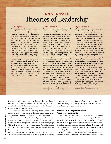# **Snapshots** Theories of Leadership

#### **Trait Approach**

The trait approach focuses on the person of the leader and on the personality traits needed to function effectively. The approach outlasted the twentieth century because it is straightforward and can be used in selection of leaders who have the right stuff. The traits that companies are seeking include intelligence, confidence, dominance and honesty; they can be measured through various instruments and questionnaires. Although initially almost discarded, the trait approach experienced resurgence and is now being used daily. Just consider the announcements of job vacancies to see how the trait approach is alive. It is also used to help develop leaders' personality traits through training. The cultural nature of this theory is obviously related to the "individualistic" cultures. Unresolved in this approach is the question of whether leaders are different people from followers (born leaders) or whether leadership traits are widely distributed and can be enhanced through appropriate training.

#### **Skills Approach**

The skills approach is also alive and well as demonstrated by the various descriptions of competencies needed for the performance of leaders to be effective. This approach is more descriptive and less theoretical and is used mostly in hiring people and training programs that enhance their skill development. The list of important skills has undergone changes under the impact of cognitive sciences to include such competencies as problemsolving and social judgment. An earlier articulation that identified three basic skills needed at different levels of leadership still influences the field. These skills were "technical," (needed mainly at the entry level),"relational" (needed on all levels), and "conceptual" (needed at the highest level). As people move on the ladder of organizational hierarchy they need fewer technical skills (for which they were hired) and more conceptual skills characterized by general and specific cognitive skills. Recently the trend has been to merge the trait and skill approaches in both recruiting and training and to add the element of knowledge into both. In international education, the competency approach is popular among cross-cultural communication scholars and practitioners, but it defines primarily interpersonal skills rather than organization functioning.

#### **Style Approach**

While the trait approach focuses on personality traits and the skill approach on capabilities of leaders, the style approach emphasizes behavior of leaders. This is why some taxonomies list this approach under the behaviorist theories. It had its intellectual homes in the Ohio State University and Michigan State University research centers that developed a categorization of leadership behavior based on two behaviors: task and relational oriented. These centers responded to the inadequacies of the trait and skills approaches and produced a new research tradition that introduced, among others, the well known leadership grid (Blake and Moulton, 1991) whose original version became a "bible" for the Agency for International Development in its leadership training of foreign participants during the 1960s.

The style approach is a broad framework for understanding actions of people in two dimensions, task and relationships, working interchangeably. The style approach is used in training to create self-awareness and awareness of other peoples' strengths and weaknesses. Several consulting and training companies offer specialized "grid" seminars designed to improve productivity, increase morale, gaining employees' commitment, and correcting ineffective behavior.

is universally valid, a notion reinforced by the egalitarian culture of the United States and by assumptions that leadership exists in all societies. The result is that most mainstream theories of leadership ignore the role and influence of culture.

The "new wave" approach to leadership changes the scene, but even then some of the cross-cultural studies tend to locate culture as only one of many other variables, which fails to integrate culture into the mainstream thinking. Additionally, these new theories treat culture as a variable only when there are some foreign people (from outside the culture being studied) involved in the work of groups. This neglects the role of our own culture as an "operating system" of the brain that determines what we know about leadership. This failure to integrate culture into leadership concepts is the same issue that faces our universities to internationalize themselves. Several "new wave" research studies focus on the "subjectivist" knowledge

orientation that draws heavily on the functions of the brain in information processing, and on such psychological concepts and theories as attributions, perceptions, and values.

#### **Mainstream Management-Based Theories of Leadership**

Leadership theories reflect the historical sequences of studies beginning with the "trait" approach, and continuing into the "skills" approach prevalent from the 1920s to the 1950s when the "style" and "behaviorist" approaches dominated the literature and research. (Not all writers use these categories to describe the development of the concept.) Next came the "situational" and "contingency" theories, path-goal theory, followed by a variety of single-focused approaches (e.g., "authentic" and "servant" leadership, until the "transformational" theory commanded major attention that continues to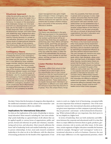#### **Situational Approach**

Unlike the preceding approach, the situational approach places the leader into a situation that becomes a variable of performance. It is based on the assumption that employees change over time back and forth on a developmental continuum that calls for the leader to use sophisticated diagnostic skills to assess these developmental changes, and match them with leadership style, ranging from directive to supportive. This scheme is widely used by industry because it is simple to conceptualize, because it can be used on various levels of organizational hierarchy and at various stages of new projects. The scheme also changed the focus from leader to subordinates and their situation.

#### **Contingency Theory**

Continuing the progressive development of leadership theory is the contingency theory that is based on a match between the leader and the situation. The situation is now defined by three variables: leader-member relations, task structure, and power position. This theory posits the relative favorableness or unfavorableness of the situation, depending on the relationships between leaders and followers, the task difficulty and the power of the leader. Like the situational approach, the contingency theory is widely used by industry because it is relatively easy to identify the effectiveness of individuals in different contingency situations, and allows predictions about effectiveness of people being transferred from one position (or one company) to another.

Upper management also gains insight about changes in these contingency situations to make lower level leaders more effective. Executive hire agencies use this scheme also to predict whether employees in one sector of the economy will be effective in another.

#### **Path-Goal Theory**

This theory was developed in the early 1970s and was based on the expectancy theory, a motivation theory that assumes that workers' performance will be enhanced if they think they are capable of performing well, if their efforts will lead to positive results, and if they are appropriately rewarded. Along with the previously mentioned approaches, this one is also based on the need to increase productivity, but unlike the others, it takes the need of the subordinates into account. This makes it more complex to use than others, and has not been as common in training programs.

#### **Leader-Member Exchange Theory**

This theory differs from others in that it is based not on what leaders do to the subordinates, but on their mutual interactions that are hypothesized to go through several stages beginning with being strangers, then acquaintances and ending as partners. These relationships are dyadic because each individual in an organization is different and needs different stimuli to insure that they become an in-group. Thus, this unique theory recognizes the possibility that there are both in-groups and out-groups in every organization and prescribes that the leader should establish a relationship of trust and support with each member. Such relationships can be established only if there is proper level of communication. Another unique feature of this theory is that it claims it can be used universally not only on all levels of structured formal organizations, but also in education and other nonprofit organizations.

#### **Transformational Leadership**

This theory is the most recent and presently most popular among researchers and practitioners. As the name indicates, the theory aims to transform individuals by exercising an exceptional influence so that they perform beyond expectations. The core concepts are charisma and vision and the main strategies are long-term goals, ethics, high standards, values, emotions, and high levels of stimulation. Unlike other theories, transformation theory assumes that the leaders touch the motivational buttons of the followers so that they will better accomplish the goals of the leaders as well as their own. This concept is very popular and some consider it applicable to international education. The concept's theory differentiates transformational from "transactional" leadership that resembles the difference between leaders and managers. Although there is a substantial difference between these roles, the can overlap. People could be both leaders and at other times managers.

this date). Notice that the formation of categories often depends on the intellectual orientation and the culture of the researcher—just like in internationalization efforts (see sidebar).

#### **Implications for International Education**

So what are the implications of the study of leadership to international education? Most research, including the "new wave scholarship," posits leadership as a general feature of all cultures that can be applied equally to various forms of organizations, public and private, formal and informal, for-profit and voluntary, manufacturing and services, and education. Most research addresses the lower half of leadership levels and studied leadership in personto-person relationships. In fact, most early research considered leadership to be what we do to the followers, with the objectives of increasing production for the benefit of the organization. If one wants to work on a higher level of functioning, conceptual skills are more important than technical competence. One of the most important reasons why international education professionals are not given more importance on their campuses is precisely because they are perceived—and remain—at the technical level of functioning. While technical skills are very important, they don't prove to be very helpful on a higher level.

In terms of leadership, there are both similarities and differences between the corporate and educational world. It is clear that there is a major difference between them in goals, products, governance, structure, role in society, and other issues. At the same time, certain segments of higher education resemble the business world; for example, "divergence" and "convergence" works in international education as well as in business. However, the root of the major difference is in the organizational priorities, which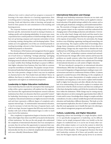influence how work is valued and how progress is measured. If learning is the major objective in a learning organization, then everything points to learning, stems from learning, and leads to learning. Goals and objectives relate to learning, and people are hired for their passion for and commitment to the teaching and learning process.

The corporate business model of leadership tends to be more function-specific, instrumental, focused on staying in business, on making a profit, and on pleasing stakeholders. In recent years, more corporations have created positions of chief knowledge officers and have set up learning campuses and corporate universities to focus on learning, training, sharing ideas, and developing leaders. Those entities are to be applauded, even if they are oriented primarily to teaching knowledge relevant to their business and keeping their intellectual property to themselves.

The dominance of the business and management theories appear to have already influenced international education, as judged by the use of such terms as "marketing," "strategic planning," "packaging programs," and titles such as "chief international education officer." Emerging research indicates clearly that the nature of the institution is a major variable; these findings should give us pause to differentiate higher education from business; they have little in common except the resemblance of similarity. The popular concept of transformational leadership holds great promise for international education, but it also presents a danger in that it may turn its emphasis on charisma back to the "born leader/trait-and-elitism" theory. In addition, that theory is crafted to focus on relationships within an organization and neglects an institutional perspective.

#### **Leadership in Higher Education Institutions**

Some leadership theories make the assumption that studying leadership within a given organization will explains how the organization functions But organizational development research indicates institutions have their own dynamics that form a powerful "context" for leadership, functioning on some seven levels of organizational complexity. Educational institutions are highly structured vertically, and each layer represents a different degree of complexity and a separate internal logic. To institutionalize international education, it may be necessary to look into this issue of separate layers, each with its own logic, because it appears that IEPs may need to become familiar with each of these differentiated logics in order to reach every level of the institution.

Also, complexity in organizations begins to function at the level that is often higher than where most IEPs are located in the hierarchy of their institutions. Yet, they are the only people who understand the complexity of international education; but if our assumption is accurate, they do not have the opportunity to represent their case. Top-level administrators may function at high levels of complexity domestically, but they do so relatively simplistically internationally and cross-culturally (Mestenhauser, 2000).

#### **International Education and Change**

Although most leadership mainstream theories are too static and "management" oriented, several of them can be applied to international education if the global setting is added to the context, such as to the path-goal, situational, contingency, and transformational theories. The enormity of changes and their revolutionary scope have made a greater impact on the corporate world that understood the changing nature of knowledge production and utilization. Universities, on the other hand, change only slowly and thus stand to lose out to for-profit consulting agencies that have sprung up everywhere at the expense of universities. However, for universities, the change involves a way of thinking, organizing, teaching and researching, not just restructuring. This requires another kind of knowledge about change, future orientation, and the introduction of new ideas for a global setting. Change may also require that we abandon the some traditional way of thinking, such as ethnocentrism and inward-looking. The "new wave" scholarship is systems-oriented and outwardfocused because the changes affect entire systems and because the problems are usually systemic rather than localized. IEPs should develop new schemes that include more sophisticated knowledge of international education as a sub-system of higher education.

We have introduced a perspective on international education (Mestenhauser, 2002) that was designed to conceptualize it as a system in need of integration of fragmented parts residing in many vertical structures and stuck in cumbersome division of labor. A systems approach is needed because of the following: (1) the complexity of the field (the two major characteristics of complex systems are differentiation and integration; (2) the need to explain itself (translate itself) to higher level educators and other officials who have shown lack of its understanding; (3) the need to explain it to students who need to know what the whole is to know and what (very small) part of it they learn during their studies; and (4) the few incentives for change from within the institutions. While change may be coming anyway, higher education is at risk in missing the opportunities that it offers if it waits until it comes. Knowledge about change is complex and often contradictory. It is also a cultural variable that gives both international education and leadership a different dimension. This leads us to the most important implication, the role of "culture" as variable of leadership (the most appropriate way to handle this topic is by referring to cross-cultural management programs and textbooks).

#### **Culture, Leadership, and Higher Education**

Integrating culture into knowledge of a single discipline, whether it is specifically management or leadership, can be difficult. Culture can be simply juxtaposed (often very briefly) as the last chapter of a traditional text; or it can be one of many other variables of the subject-matter; or it can be the context in which the discipline operates as is; it can also be the "operating system" of the brain of that discipline. The management literature that deals with leadership contains all of these and possibly more solutions, but the largest majority either pay lip service to an interna-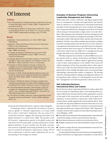# Of Interest

#### **Articles**

"From Transactional to Transformational Leadership: Learning to Share the Vision" by B. M. Bass. (1990). *Organizational Dynamics*, 18, 19-31.

"The Motivational Effects of Charismatic Leadership: A Selfconcept Based Theory" by B. Shamir, R.J. House, and M.B. Arthur. (1993). *Organizational Science,* 4(4), 577-594.

#### **Books**

- *Leadership: A New Synthesis* by J.G. Hunt. (1991). Sage Publications.
- *Leadership: Theory and Practice* (3rd ed.) by P. Northouse. (2004). Sage Publications.
- *Leadership and Performance Beyond Expectations* by B.M. Bass. (1985). Free Press.
- *On Change: En Route to Transformation* by Peter Eckel, Barbara Hill, and Madeleine Green. (1998). American Council on Education.
- *On Change: Reports from the Road: Insights on Institutional Change* by Peter Eckel, Barbara Hill, Madeleine Green, and Bill Mallon. (1999). American Council on Education.
- *On Change III: Taking Charge of Change: A Primer for Colleges and Universities* by Peter Eckel, Barbara Hill, Madeleine Greene, and Bill Mallon. (1999). American Council on Education.
- *On Change IV: What Governing Boards Need to Know and Do about Institutional Change* by Barbara Hill, Madeleine Green, and Peter Eckel. (2001). American Council on Education.
- *On Change V: Riding the Waves of Change: Insights from Transforming Institutions* by Peter Eckel, Madeleine Green, and Barbara Hill. (2001). American Council on Education.
- *The Chief International Education Administrator (CIEA) As an Agent for Organizational Change* by Manfred Thulen, John D. Heyl, and Blaine Brownell. (2000). Association of International Education Administrators.
- *The First Resort of Kings: American Cultural Diplomacy in the Twentieth Century* by Richard T. Arndt. (2005). Potomac Books, Inc.

tional and intercultural dimension or ignores culture altogether.

Confronting "culture" confronts the real character of universities as "global" or "national" organizations, or as many would like to claim, "world-class" institutions. The very name of "international education" suggests that claiming universities to be global institutions is a myth (Scott, 2000). The paradox is that all "domestic" organizations operate in the global context and will need to have the same skills, concepts and practices of other global institutions. To put it another way, the skills, concepts, and practices of globally functioning institutions are the same that are needed by all domestic organizations (Tung, 1997) If this is understood, it will have major implications for our understanding of why changes are needed.

#### **Examples of Business Programs Intersecting Leadership, Management and Culture**

While many units, courses, certificates, and degree programs that focus on management of people and organizations, the majority make no reference to an international or intercultural dimension principles in their learning objectives. How to include and integrate such content and methods into a discipline is at the heart of curricula reform aiming to internationalize a single course or an entire discipline. Other programs have attempted to intersect management and culture but focus primarily on management principles as the dominant subject matter while selected culture-specific units remain marginalized. Activities, case studies, panelists, guest speakers, readings, and other teaching methods may introduce one or more cultures to a management-dominated course in specified units in an attempt to educate students about some aspects of cultural diversity. The key is that these cultural units are additives to a management-focused program that lacks cross-cultural diversity and integration.

Still other programs focus entirely on cultural differences in culture-specific units (i.e., Mexico, South Africa, and Poland). Others introduce a "sandwich" or "additive-infusion" approach by inserting a unit on basic cultural patterns in the middle of the course but without integration of how these principles relate to other aspects of the course. Only a few deal with both culture specific and culture general theory from multiple disciplines such as social psychology, anthropology, communication studies, or linguistics. The learning objectives, teaching methods, readings, and assignments all focus on learning about other cultures in a well-integrated course that may have "management" in its title but prioritizes culture as the core.

#### **Still Unfinished Business: International Ethos and Culture**

Recent literature about organizational behavior makes a great deal out of a concept of "institutional culture." One meaning of that concept is related to the internal cohesion of the organization centered on the goals of the corporation and secondly on the goals of its employees. In many instances, it means also a multi-cultural environment that is usually equated with an international culture. There are subtle but important differences between them that we do not have space to explore. Whether or not there is an international and intercultural culture and a campus ethos (Harari, 1992), depends on a number of factors that comprise an intercultural learning environment (Ellingboe, 1999):

■ Intercultural and international learning take place; internationally oriented knowledge is shared, and interactions take place;

■ Intercultural awareness, sensitivity, and inclusivity thrive;

■ Multiple components of an internationalized campus are found; and

■ A positive campus ethos for internationalization exists and "outsiders" are welcomed as "insiders."

An intercultural learning environment focuses on being friendly to all types of diversity in an organization, and leaders co-create this by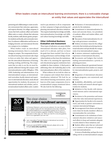## When leaders create an intercultural learning environment, there is a noticeable change an entity that values and appreciates the intercultural

partnering and collaborating to create an inclusive environment that welcomes, appreciates, and respects diversity. On college campuses, it means that both academic affairs and student affairs units co-create a climate that welcomes faculty, students, staff, alumni, guests, prospective students and faculty, and community members. It embraces collaboration and focuses on bridging domestic and international diversity on a campus or in a workplace.

When leaders create an intercultural learning environment, there is a noticeable change on campus. The components of an intercultural learning environment take shape to form an entity that values and appreciates the intercultural dimension of learning, teaching, working, and thriving. The components that we refer to are the six most frequently addressed during full campus-wide internationalization audits (Ellingboe, 1996, 1999): leadership and administration of an internationalized campus, an internationalized curriculum, faculty interest and experience in international education, study abroad opportunities for students, the presence of international students and scholars, and internationalized student affairs units. Leaders need to pay attention to all six components on their campuses to begin prioritizing and planning international education initiatives. This requires leadership knowledge and skills, internationalization knowledge and skills, and culture learning knowledge and skills.

#### **Other Unfinished Business: Evaluation and Assessment**

Three types of indicators can assess whether international education takes place, how much of it is relevant, and how we know the goals have been reached. One is by assessing performance and knowledge of individual students as they leave the institutions. The other is by assessing the opportunity and educational programs institutions have available for these students. A third point is addressing what role leadership plays in the internationalization effort of the institution.

What evidence do we look for when we visit campuses and evaluate their internationalization initiatives? We look for an intercultural learning environment, and at least six of the major components of an internationalized campus mentioned above. We also look for the following:

|                                                                              |                                                                                                                                                                                                                                                                                                                                                                                                         | THOMSOL           |
|------------------------------------------------------------------------------|---------------------------------------------------------------------------------------------------------------------------------------------------------------------------------------------------------------------------------------------------------------------------------------------------------------------------------------------------------------------------------------------------------|-------------------|
|                                                                              |                                                                                                                                                                                                                                                                                                                                                                                                         | <b>PETERSON'S</b> |
|                                                                              | The clear choice<br>for student recruitment services                                                                                                                                                                                                                                                                                                                                                    |                   |
| YEARS<br>Partnering with the<br>international community<br>for over 20 years | At Thomson Peterson's, we're not just a dotcom. For over 20 years,<br>we've worked closely with the international community in delivering<br>the qualified applicants and unparalleled outreach you've come to<br>expect. And as a longtime supporter of NAFSA, Thomson Peterson's<br>gives back in other ways, too. When you look for a recruiting partner,<br>look for an organization you can trust. |                   |
|                                                                              | Learn more about Thomson Peterson's international recruitment<br>services Call 609-896-1800 today!                                                                                                                                                                                                                                                                                                      |                   |
|                                                                              | To get your special NAFSA member discount, please visit our site<br>through www.nafsa.org/affinity                                                                                                                                                                                                                                                                                                      |                   |
|                                                                              |                                                                                                                                                                                                                                                                                                                                                                                                         | IF1105            |

■ Declaration of internationalization as a priority for the institution;

■ Commitment to internationalization by deans and associate deans, vice presidents of academic affairs and student affairs, and the president;

■ Discussion of internationalization by college-wide governance committees;

■ Evidence of a future vision for the college/ university that includes prioritizing international education and specifically the components of an internationalized campus;

■ A mission statement emphasizing the importance of international education;

■ Documents and budgets that include making internationalization a priority in planning processes;

■ Resources (financial, operational, human) and commitments from leaders on campus for internationalization goals, projects, and efforts;

■ Integration of international education in degree programs, core coursework, and electives;

■ Availability, affordability, and transferability of study and research abroad opportunities for students;

■ Initiatives to hire faculty with international interests and/or international experiences;

■ Provisions in the promotion and tenure codes that value international experiences;

■ Opportunities for faculty to do research, teach, and study at partner universities to maintain international linkages;

■ Encouragement from deans and department chairs for faculty members' efforts to internationalize the curriculum;

■ Commitment to do evaluations of international education initiatives and associated efforts to keep and maintain adequate records related to these initiatives; and

■ Student affairs units that are welcomed as co-creators in the process of campuswide internationalization.

In terms of leadership, perhaps the most telling role for an internationalized campus